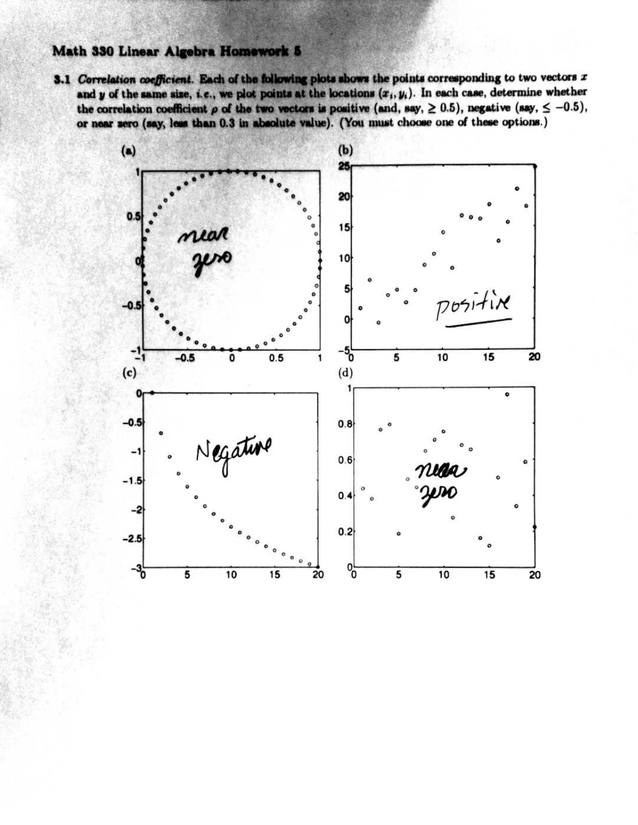## Math 330 Linear Algebra Homework 5

3.1 Correlation coefficient. Each of the following plots shows the points corresponding to two vectors  $x$ and y of the same size, i.e., we plot points at the locations  $(x_i, y_i)$ . In each case, determine whether the correlation coefficient  $\rho$  of the two vectors is positive (and, say,  $\geq 0.5$ ), negative (say,  $\leq -0.5$ ), or near zero (say, less than 0.3 in absolute value). (You must choose one of these options.)

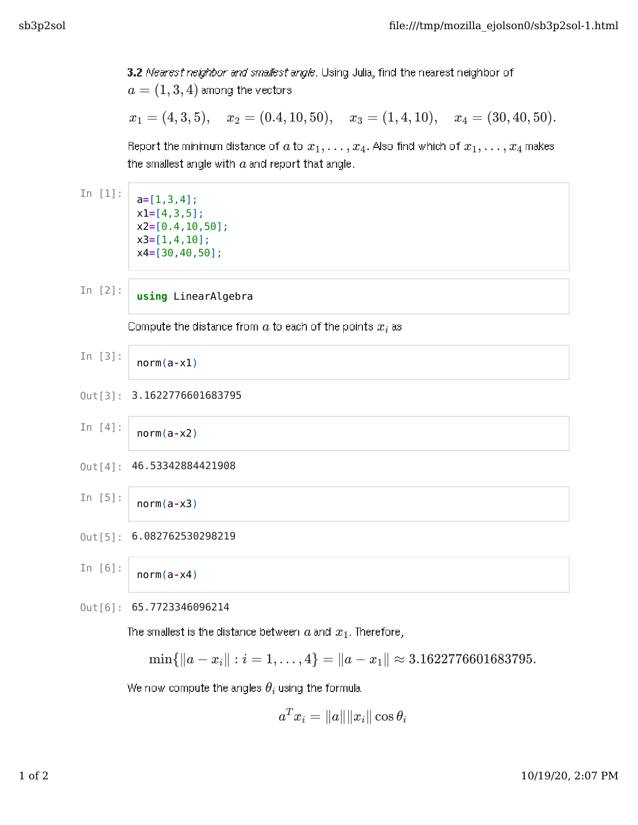3.2 Nearest neighbor and smallest angle. Using Julia, find the nearest neighbor of  $a = (1, 3, 4)$  among the vectors

$$
x_1=(4,3,5),\quad x_2=(0.4,10,50),\quad x_3=(1,4,10),\quad x_4=(30,40,50).
$$

Report the minimum distance of  $a$  to  $x_1, \ldots, x_4.$  Also find which of  $x_1, \ldots, x_4$  makes the smallest angle with  $\overline{a}$  and report that angle.

In  $[1]$ : a**=**[1,3,4]; x1**=**[4,3,5]; x2**=**[0.4,10,50]; x3**=**[1,4,10]; x4**=**[30,40,50];

## In  $[2]$ : **using** LinearAlgebra

Compute the distance from  $a$  to each of the points  $x_i$  as

In [3]: 
$$
norm(a-x1)
$$

0ut [3]: 3.1622776601683795

In 
$$
[4]
$$
: **norm(a-x2)**

0ut[4]: 46.53342884421908

In 
$$
[5]:
$$
 norm(a-x3)

0ut<sup>[5]</sup>: 6.082762530298219

In  $[6]$ :

norm(a**-**x4)

0ut[6]: 65.7723346096214

The smallest is the distance between  $a$  and  $x_1$ . Therefore,

 $\min\{\|a-x_i\| : i=1,\ldots,4\} = \|a-x_1\| \approx 3.1622776601683795.$ 

We now compute the angles  $\theta_i$  using the formula

$$
a^T x_i = \|a\| \|x_i\| \cos \theta_i
$$